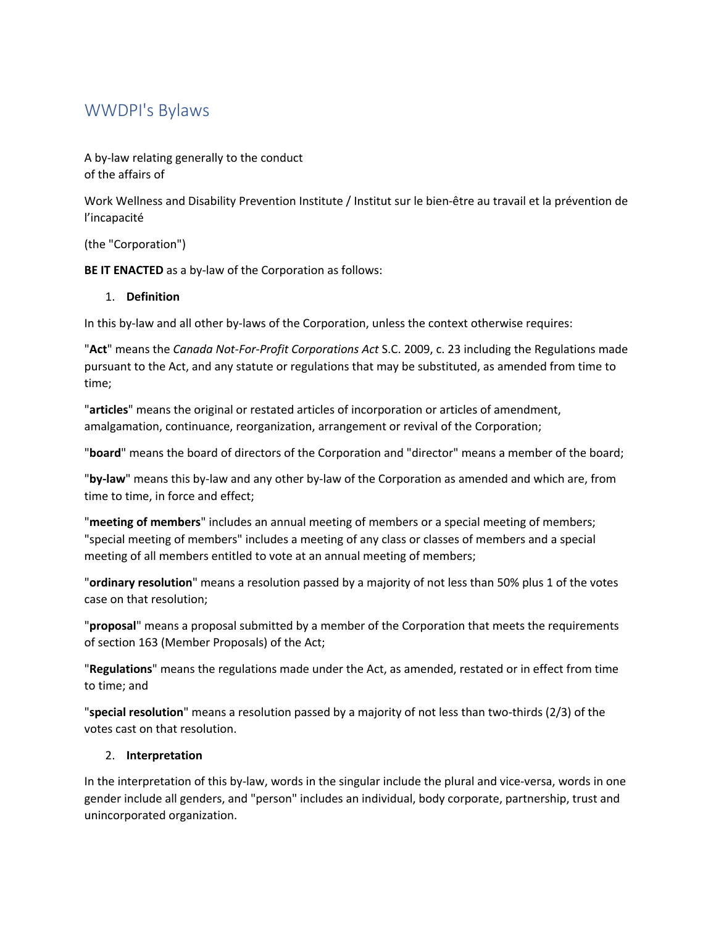# WWDPI's Bylaws

A by-law relating generally to the conduct of the affairs of

Work Wellness and Disability Prevention Institute / Institut sur le bien-être au travail et la prévention de l'incapacité

(the "Corporation")

**BE IT ENACTED** as a by-law of the Corporation as follows:

#### 1. **Definition**

In this by-law and all other by-laws of the Corporation, unless the context otherwise requires:

"**Act**" means the *Canada Not-For-Profit Corporations Act* S.C. 2009, c. 23 including the Regulations made pursuant to the Act, and any statute or regulations that may be substituted, as amended from time to time;

"**articles**" means the original or restated articles of incorporation or articles of amendment, amalgamation, continuance, reorganization, arrangement or revival of the Corporation;

"**board**" means the board of directors of the Corporation and "director" means a member of the board;

"**by-law**" means this by-law and any other by-law of the Corporation as amended and which are, from time to time, in force and effect;

"**meeting of members**" includes an annual meeting of members or a special meeting of members; "special meeting of members" includes a meeting of any class or classes of members and a special meeting of all members entitled to vote at an annual meeting of members;

"**ordinary resolution**" means a resolution passed by a majority of not less than 50% plus 1 of the votes case on that resolution;

"**proposal**" means a proposal submitted by a member of the Corporation that meets the requirements of section 163 (Member Proposals) of the Act;

"**Regulations**" means the regulations made under the Act, as amended, restated or in effect from time to time; and

"**special resolution**" means a resolution passed by a majority of not less than two-thirds (2/3) of the votes cast on that resolution.

## 2. **Interpretation**

In the interpretation of this by-law, words in the singular include the plural and vice-versa, words in one gender include all genders, and "person" includes an individual, body corporate, partnership, trust and unincorporated organization.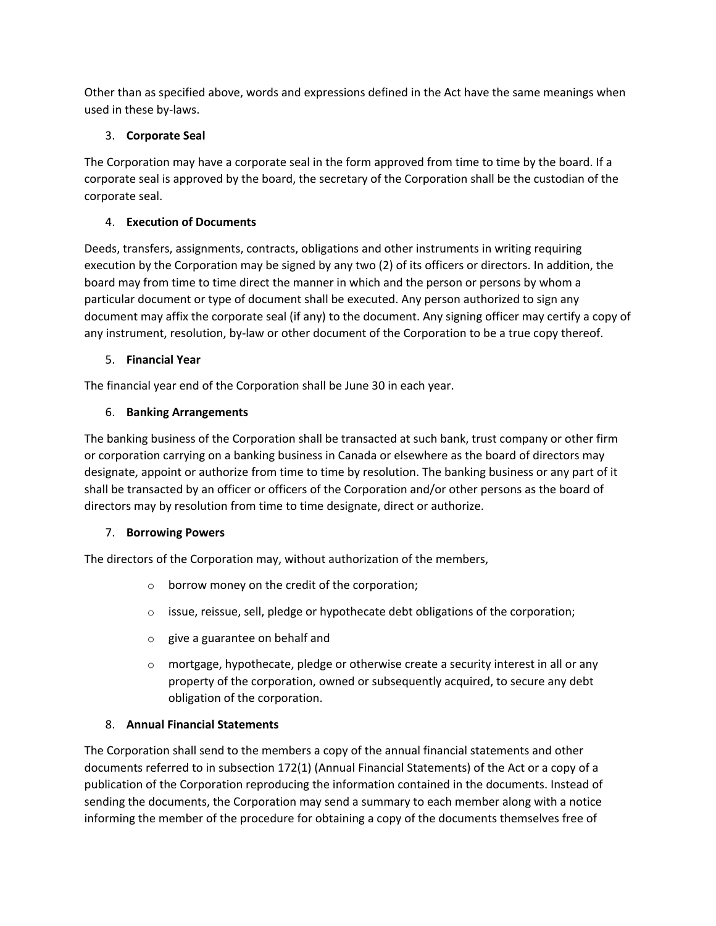Other than as specified above, words and expressions defined in the Act have the same meanings when used in these by-laws.

## 3. **Corporate Seal**

The Corporation may have a corporate seal in the form approved from time to time by the board. If a corporate seal is approved by the board, the secretary of the Corporation shall be the custodian of the corporate seal.

## 4. **Execution of Documents**

Deeds, transfers, assignments, contracts, obligations and other instruments in writing requiring execution by the Corporation may be signed by any two (2) of its officers or directors. In addition, the board may from time to time direct the manner in which and the person or persons by whom a particular document or type of document shall be executed. Any person authorized to sign any document may affix the corporate seal (if any) to the document. Any signing officer may certify a copy of any instrument, resolution, by-law or other document of the Corporation to be a true copy thereof.

## 5. **Financial Year**

The financial year end of the Corporation shall be June 30 in each year.

## 6. **Banking Arrangements**

The banking business of the Corporation shall be transacted at such bank, trust company or other firm or corporation carrying on a banking business in Canada or elsewhere as the board of directors may designate, appoint or authorize from time to time by resolution. The banking business or any part of it shall be transacted by an officer or officers of the Corporation and/or other persons as the board of directors may by resolution from time to time designate, direct or authorize.

## 7. **Borrowing Powers**

The directors of the Corporation may, without authorization of the members,

- $\circ$  borrow money on the credit of the corporation;
- o issue, reissue, sell, pledge or hypothecate debt obligations of the corporation;
- o give a guarantee on behalf and
- $\circ$  mortgage, hypothecate, pledge or otherwise create a security interest in all or any property of the corporation, owned or subsequently acquired, to secure any debt obligation of the corporation.

## 8. **Annual Financial Statements**

The Corporation shall send to the members a copy of the annual financial statements and other documents referred to in subsection 172(1) (Annual Financial Statements) of the Act or a copy of a publication of the Corporation reproducing the information contained in the documents. Instead of sending the documents, the Corporation may send a summary to each member along with a notice informing the member of the procedure for obtaining a copy of the documents themselves free of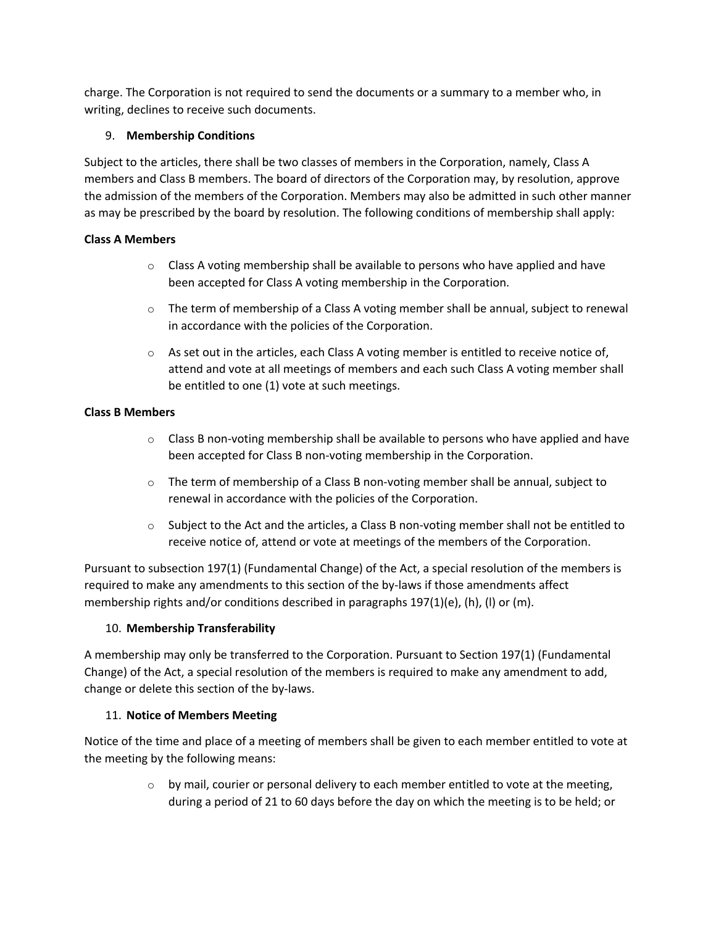charge. The Corporation is not required to send the documents or a summary to a member who, in writing, declines to receive such documents.

## 9. **Membership Conditions**

Subject to the articles, there shall be two classes of members in the Corporation, namely, Class A members and Class B members. The board of directors of the Corporation may, by resolution, approve the admission of the members of the Corporation. Members may also be admitted in such other manner as may be prescribed by the board by resolution. The following conditions of membership shall apply:

## **Class A Members**

- $\circ$  Class A voting membership shall be available to persons who have applied and have been accepted for Class A voting membership in the Corporation.
- $\circ$  The term of membership of a Class A voting member shall be annual, subject to renewal in accordance with the policies of the Corporation.
- $\circ$  As set out in the articles, each Class A voting member is entitled to receive notice of, attend and vote at all meetings of members and each such Class A voting member shall be entitled to one (1) vote at such meetings.

## **Class B Members**

- $\circ$  Class B non-voting membership shall be available to persons who have applied and have been accepted for Class B non-voting membership in the Corporation.
- $\circ$  The term of membership of a Class B non-voting member shall be annual, subject to renewal in accordance with the policies of the Corporation.
- $\circ$  Subject to the Act and the articles, a Class B non-voting member shall not be entitled to receive notice of, attend or vote at meetings of the members of the Corporation.

Pursuant to subsection 197(1) (Fundamental Change) of the Act, a special resolution of the members is required to make any amendments to this section of the by-laws if those amendments affect membership rights and/or conditions described in paragraphs  $197(1)(e)$ , (h), (l) or (m).

## 10. **Membership Transferability**

A membership may only be transferred to the Corporation. Pursuant to Section 197(1) (Fundamental Change) of the Act, a special resolution of the members is required to make any amendment to add, change or delete this section of the by-laws.

## 11. **Notice of Members Meeting**

Notice of the time and place of a meeting of members shall be given to each member entitled to vote at the meeting by the following means:

> $\circ$  by mail, courier or personal delivery to each member entitled to vote at the meeting, during a period of 21 to 60 days before the day on which the meeting is to be held; or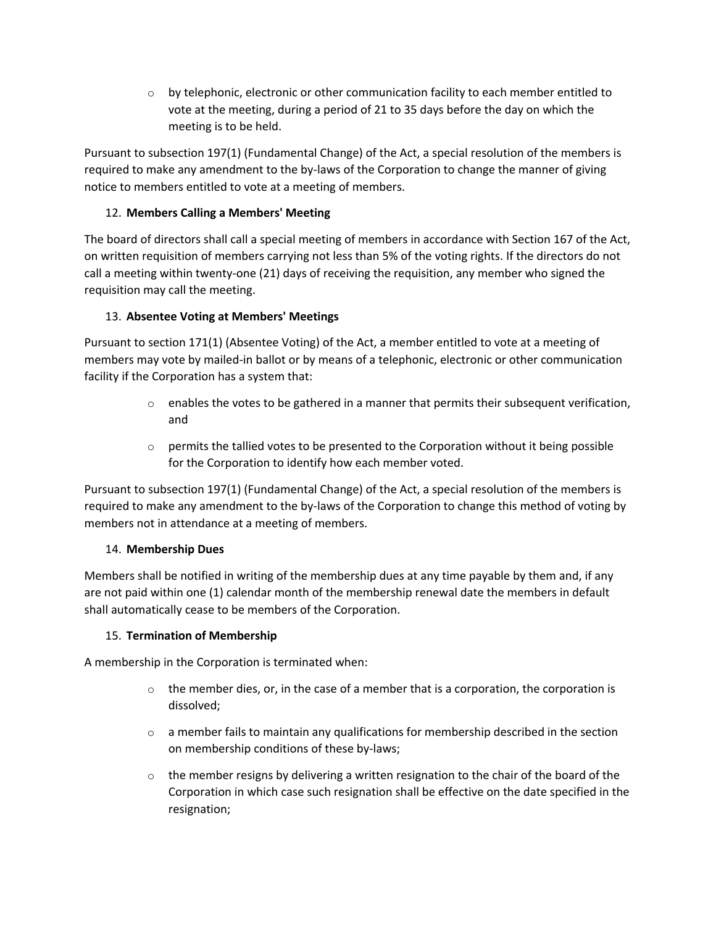$\circ$  by telephonic, electronic or other communication facility to each member entitled to vote at the meeting, during a period of 21 to 35 days before the day on which the meeting is to be held.

Pursuant to subsection 197(1) (Fundamental Change) of the Act, a special resolution of the members is required to make any amendment to the by-laws of the Corporation to change the manner of giving notice to members entitled to vote at a meeting of members.

## 12. **Members Calling a Members' Meeting**

The board of directors shall call a special meeting of members in accordance with Section 167 of the Act, on written requisition of members carrying not less than 5% of the voting rights. If the directors do not call a meeting within twenty-one (21) days of receiving the requisition, any member who signed the requisition may call the meeting.

## 13. **Absentee Voting at Members' Meetings**

Pursuant to section 171(1) (Absentee Voting) of the Act, a member entitled to vote at a meeting of members may vote by mailed-in ballot or by means of a telephonic, electronic or other communication facility if the Corporation has a system that:

- $\circ$  enables the votes to be gathered in a manner that permits their subsequent verification, and
- $\circ$  permits the tallied votes to be presented to the Corporation without it being possible for the Corporation to identify how each member voted.

Pursuant to subsection 197(1) (Fundamental Change) of the Act, a special resolution of the members is required to make any amendment to the by-laws of the Corporation to change this method of voting by members not in attendance at a meeting of members.

## 14. **Membership Dues**

Members shall be notified in writing of the membership dues at any time payable by them and, if any are not paid within one (1) calendar month of the membership renewal date the members in default shall automatically cease to be members of the Corporation.

## 15. **Termination of Membership**

A membership in the Corporation is terminated when:

- $\circ$  the member dies, or, in the case of a member that is a corporation, the corporation is dissolved;
- $\circ$  a member fails to maintain any qualifications for membership described in the section on membership conditions of these by-laws;
- $\circ$  the member resigns by delivering a written resignation to the chair of the board of the Corporation in which case such resignation shall be effective on the date specified in the resignation;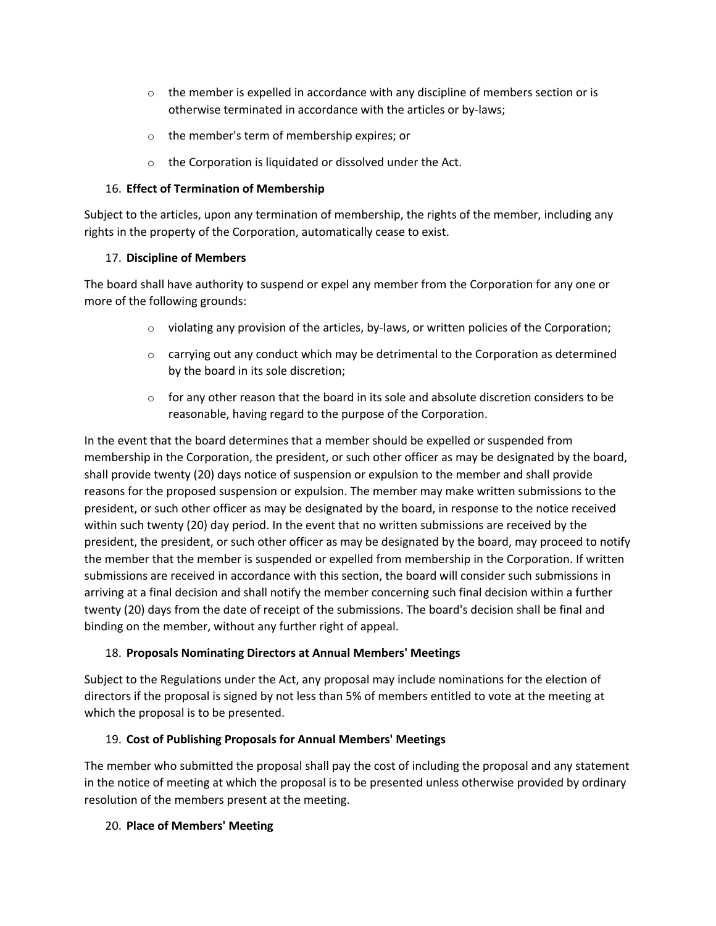- $\circ$  the member is expelled in accordance with any discipline of members section or is otherwise terminated in accordance with the articles or by-laws;
- o the member's term of membership expires; or
- o the Corporation is liquidated or dissolved under the Act.

#### 16. **Effect of Termination of Membership**

Subject to the articles, upon any termination of membership, the rights of the member, including any rights in the property of the Corporation, automatically cease to exist.

#### 17. **Discipline of Members**

The board shall have authority to suspend or expel any member from the Corporation for any one or more of the following grounds:

- $\circ$  violating any provision of the articles, by-laws, or written policies of the Corporation;
- $\circ$  carrying out any conduct which may be detrimental to the Corporation as determined by the board in its sole discretion;
- $\circ$  for any other reason that the board in its sole and absolute discretion considers to be reasonable, having regard to the purpose of the Corporation.

In the event that the board determines that a member should be expelled or suspended from membership in the Corporation, the president, or such other officer as may be designated by the board, shall provide twenty (20) days notice of suspension or expulsion to the member and shall provide reasons for the proposed suspension or expulsion. The member may make written submissions to the president, or such other officer as may be designated by the board, in response to the notice received within such twenty (20) day period. In the event that no written submissions are received by the president, the president, or such other officer as may be designated by the board, may proceed to notify the member that the member is suspended or expelled from membership in the Corporation. If written submissions are received in accordance with this section, the board will consider such submissions in arriving at a final decision and shall notify the member concerning such final decision within a further twenty (20) days from the date of receipt of the submissions. The board's decision shall be final and binding on the member, without any further right of appeal.

## 18. **Proposals Nominating Directors at Annual Members' Meetings**

Subject to the Regulations under the Act, any proposal may include nominations for the election of directors if the proposal is signed by not less than 5% of members entitled to vote at the meeting at which the proposal is to be presented.

## 19. **Cost of Publishing Proposals for Annual Members' Meetings**

The member who submitted the proposal shall pay the cost of including the proposal and any statement in the notice of meeting at which the proposal is to be presented unless otherwise provided by ordinary resolution of the members present at the meeting.

## 20. **Place of Members' Meeting**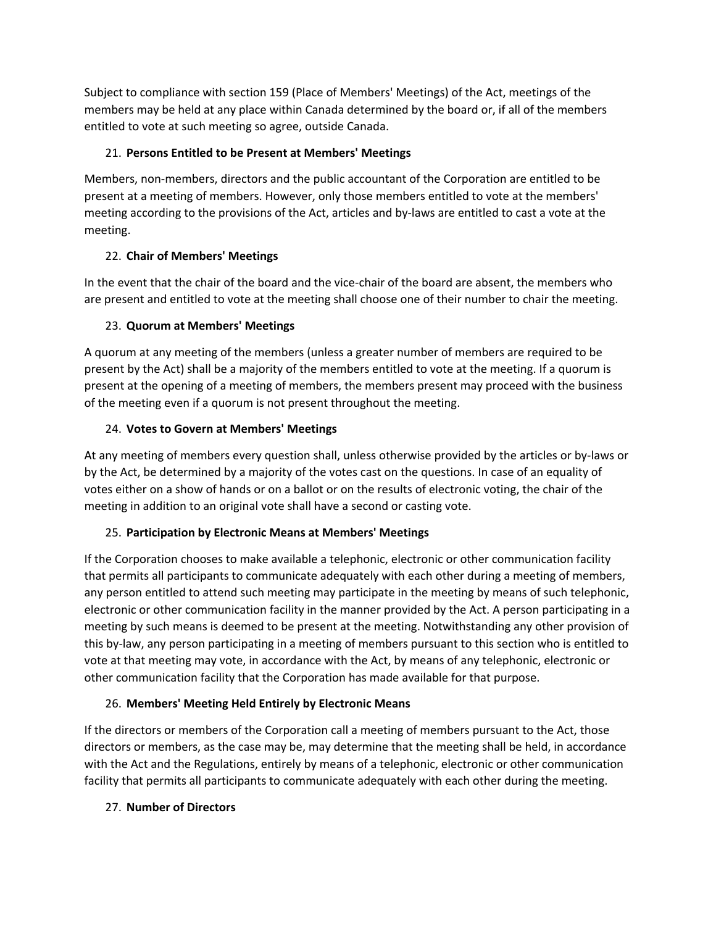Subject to compliance with section 159 (Place of Members' Meetings) of the Act, meetings of the members may be held at any place within Canada determined by the board or, if all of the members entitled to vote at such meeting so agree, outside Canada.

## 21. **Persons Entitled to be Present at Members' Meetings**

Members, non-members, directors and the public accountant of the Corporation are entitled to be present at a meeting of members. However, only those members entitled to vote at the members' meeting according to the provisions of the Act, articles and by-laws are entitled to cast a vote at the meeting.

## 22. **Chair of Members' Meetings**

In the event that the chair of the board and the vice-chair of the board are absent, the members who are present and entitled to vote at the meeting shall choose one of their number to chair the meeting.

## 23. **Quorum at Members' Meetings**

A quorum at any meeting of the members (unless a greater number of members are required to be present by the Act) shall be a majority of the members entitled to vote at the meeting. If a quorum is present at the opening of a meeting of members, the members present may proceed with the business of the meeting even if a quorum is not present throughout the meeting.

## 24. **Votes to Govern at Members' Meetings**

At any meeting of members every question shall, unless otherwise provided by the articles or by-laws or by the Act, be determined by a majority of the votes cast on the questions. In case of an equality of votes either on a show of hands or on a ballot or on the results of electronic voting, the chair of the meeting in addition to an original vote shall have a second or casting vote.

## 25. **Participation by Electronic Means at Members' Meetings**

If the Corporation chooses to make available a telephonic, electronic or other communication facility that permits all participants to communicate adequately with each other during a meeting of members, any person entitled to attend such meeting may participate in the meeting by means of such telephonic, electronic or other communication facility in the manner provided by the Act. A person participating in a meeting by such means is deemed to be present at the meeting. Notwithstanding any other provision of this by-law, any person participating in a meeting of members pursuant to this section who is entitled to vote at that meeting may vote, in accordance with the Act, by means of any telephonic, electronic or other communication facility that the Corporation has made available for that purpose.

# 26. **Members' Meeting Held Entirely by Electronic Means**

If the directors or members of the Corporation call a meeting of members pursuant to the Act, those directors or members, as the case may be, may determine that the meeting shall be held, in accordance with the Act and the Regulations, entirely by means of a telephonic, electronic or other communication facility that permits all participants to communicate adequately with each other during the meeting.

## 27. **Number of Directors**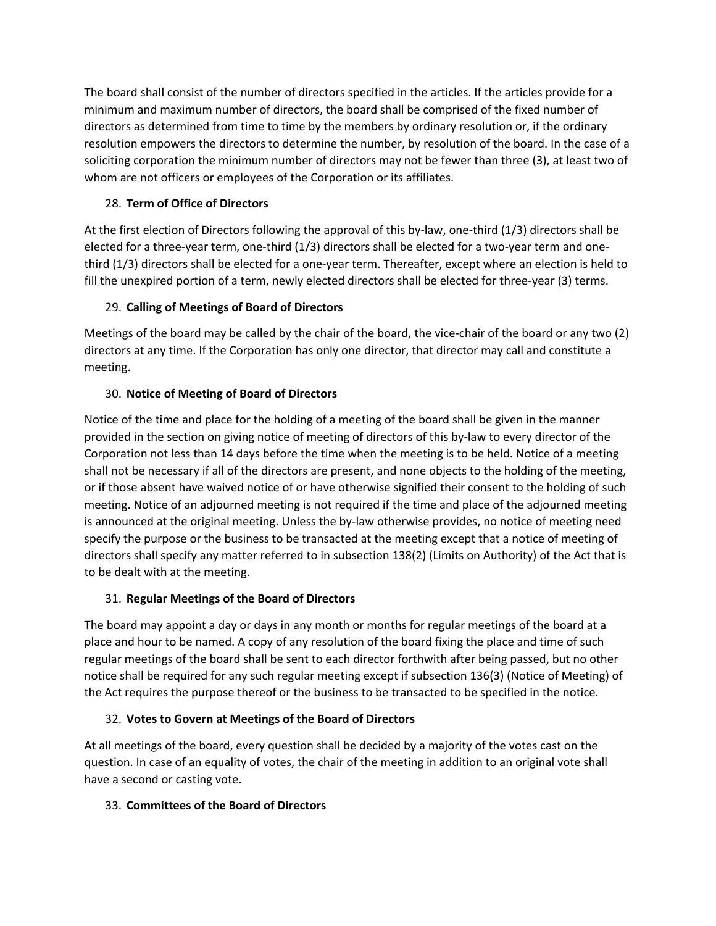The board shall consist of the number of directors specified in the articles. If the articles provide for a minimum and maximum number of directors, the board shall be comprised of the fixed number of directors as determined from time to time by the members by ordinary resolution or, if the ordinary resolution empowers the directors to determine the number, by resolution of the board. In the case of a soliciting corporation the minimum number of directors may not be fewer than three (3), at least two of whom are not officers or employees of the Corporation or its affiliates.

# 28. **Term of Office of Directors**

At the first election of Directors following the approval of this by-law, one-third (1/3) directors shall be elected for a three-year term, one-third (1/3) directors shall be elected for a two-year term and onethird (1/3) directors shall be elected for a one-year term. Thereafter, except where an election is held to fill the unexpired portion of a term, newly elected directors shall be elected for three-year (3) terms.

# 29. **Calling of Meetings of Board of Directors**

Meetings of the board may be called by the chair of the board, the vice-chair of the board or any two (2) directors at any time. If the Corporation has only one director, that director may call and constitute a meeting.

# 30. **Notice of Meeting of Board of Directors**

Notice of the time and place for the holding of a meeting of the board shall be given in the manner provided in the section on giving notice of meeting of directors of this by-law to every director of the Corporation not less than 14 days before the time when the meeting is to be held. Notice of a meeting shall not be necessary if all of the directors are present, and none objects to the holding of the meeting, or if those absent have waived notice of or have otherwise signified their consent to the holding of such meeting. Notice of an adjourned meeting is not required if the time and place of the adjourned meeting is announced at the original meeting. Unless the by-law otherwise provides, no notice of meeting need specify the purpose or the business to be transacted at the meeting except that a notice of meeting of directors shall specify any matter referred to in subsection 138(2) (Limits on Authority) of the Act that is to be dealt with at the meeting.

# 31. **Regular Meetings of the Board of Directors**

The board may appoint a day or days in any month or months for regular meetings of the board at a place and hour to be named. A copy of any resolution of the board fixing the place and time of such regular meetings of the board shall be sent to each director forthwith after being passed, but no other notice shall be required for any such regular meeting except if subsection 136(3) (Notice of Meeting) of the Act requires the purpose thereof or the business to be transacted to be specified in the notice.

# 32. **Votes to Govern at Meetings of the Board of Directors**

At all meetings of the board, every question shall be decided by a majority of the votes cast on the question. In case of an equality of votes, the chair of the meeting in addition to an original vote shall have a second or casting vote.

# 33. **Committees of the Board of Directors**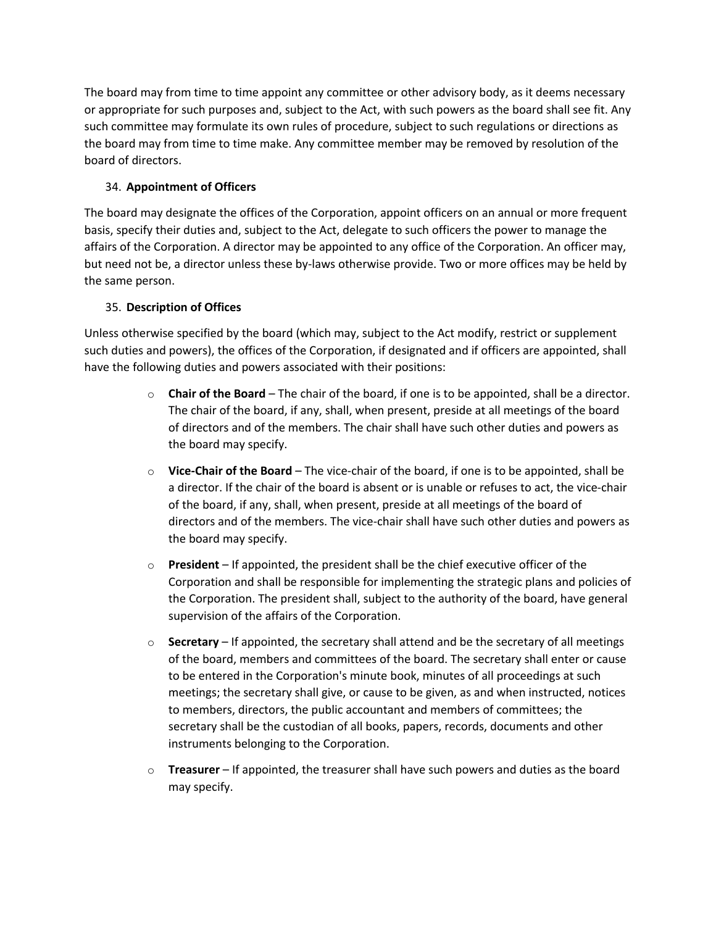The board may from time to time appoint any committee or other advisory body, as it deems necessary or appropriate for such purposes and, subject to the Act, with such powers as the board shall see fit. Any such committee may formulate its own rules of procedure, subject to such regulations or directions as the board may from time to time make. Any committee member may be removed by resolution of the board of directors.

## 34. **Appointment of Officers**

The board may designate the offices of the Corporation, appoint officers on an annual or more frequent basis, specify their duties and, subject to the Act, delegate to such officers the power to manage the affairs of the Corporation. A director may be appointed to any office of the Corporation. An officer may, but need not be, a director unless these by-laws otherwise provide. Two or more offices may be held by the same person.

## 35. **Description of Offices**

Unless otherwise specified by the board (which may, subject to the Act modify, restrict or supplement such duties and powers), the offices of the Corporation, if designated and if officers are appointed, shall have the following duties and powers associated with their positions:

- o **Chair of the Board** The chair of the board, if one is to be appointed, shall be a director. The chair of the board, if any, shall, when present, preside at all meetings of the board of directors and of the members. The chair shall have such other duties and powers as the board may specify.
- o **Vice-Chair of the Board** The vice-chair of the board, if one is to be appointed, shall be a director. If the chair of the board is absent or is unable or refuses to act, the vice-chair of the board, if any, shall, when present, preside at all meetings of the board of directors and of the members. The vice-chair shall have such other duties and powers as the board may specify.
- o **President** If appointed, the president shall be the chief executive officer of the Corporation and shall be responsible for implementing the strategic plans and policies of the Corporation. The president shall, subject to the authority of the board, have general supervision of the affairs of the Corporation.
- o **Secretary** If appointed, the secretary shall attend and be the secretary of all meetings of the board, members and committees of the board. The secretary shall enter or cause to be entered in the Corporation's minute book, minutes of all proceedings at such meetings; the secretary shall give, or cause to be given, as and when instructed, notices to members, directors, the public accountant and members of committees; the secretary shall be the custodian of all books, papers, records, documents and other instruments belonging to the Corporation.
- o **Treasurer** If appointed, the treasurer shall have such powers and duties as the board may specify.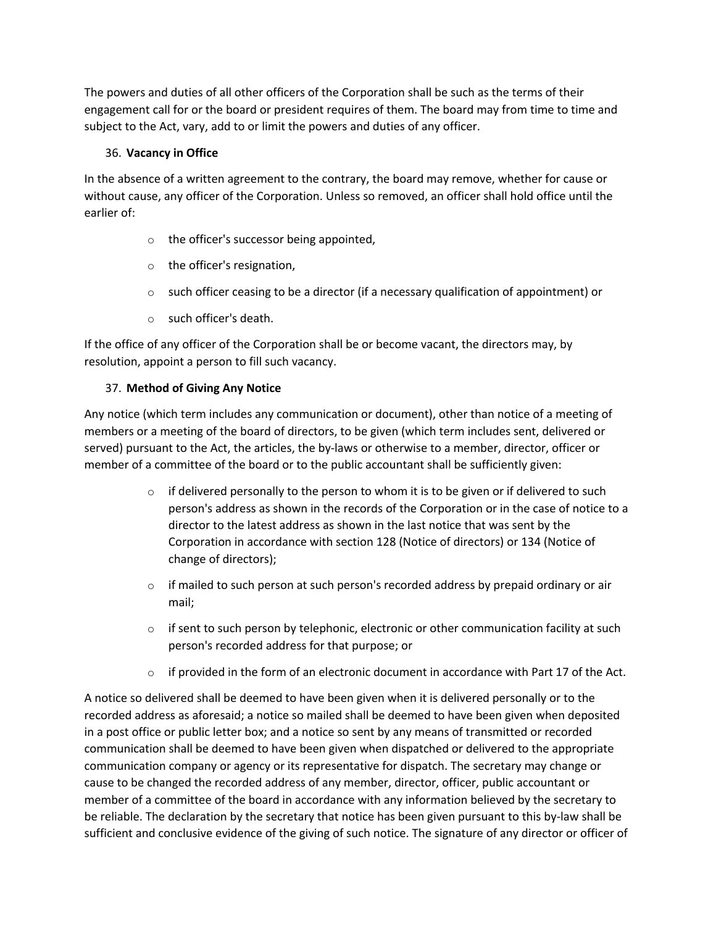The powers and duties of all other officers of the Corporation shall be such as the terms of their engagement call for or the board or president requires of them. The board may from time to time and subject to the Act, vary, add to or limit the powers and duties of any officer.

## 36. **Vacancy in Office**

In the absence of a written agreement to the contrary, the board may remove, whether for cause or without cause, any officer of the Corporation. Unless so removed, an officer shall hold office until the earlier of:

- o the officer's successor being appointed,
- o the officer's resignation,
- $\circ$  such officer ceasing to be a director (if a necessary qualification of appointment) or
- o such officer's death.

If the office of any officer of the Corporation shall be or become vacant, the directors may, by resolution, appoint a person to fill such vacancy.

## 37. **Method of Giving Any Notice**

Any notice (which term includes any communication or document), other than notice of a meeting of members or a meeting of the board of directors, to be given (which term includes sent, delivered or served) pursuant to the Act, the articles, the by-laws or otherwise to a member, director, officer or member of a committee of the board or to the public accountant shall be sufficiently given:

- $\circ$  if delivered personally to the person to whom it is to be given or if delivered to such person's address as shown in the records of the Corporation or in the case of notice to a director to the latest address as shown in the last notice that was sent by the Corporation in accordance with section 128 (Notice of directors) or 134 (Notice of change of directors);
- $\circ$  if mailed to such person at such person's recorded address by prepaid ordinary or air mail;
- $\circ$  if sent to such person by telephonic, electronic or other communication facility at such person's recorded address for that purpose; or
- $\circ$  if provided in the form of an electronic document in accordance with Part 17 of the Act.

A notice so delivered shall be deemed to have been given when it is delivered personally or to the recorded address as aforesaid; a notice so mailed shall be deemed to have been given when deposited in a post office or public letter box; and a notice so sent by any means of transmitted or recorded communication shall be deemed to have been given when dispatched or delivered to the appropriate communication company or agency or its representative for dispatch. The secretary may change or cause to be changed the recorded address of any member, director, officer, public accountant or member of a committee of the board in accordance with any information believed by the secretary to be reliable. The declaration by the secretary that notice has been given pursuant to this by-law shall be sufficient and conclusive evidence of the giving of such notice. The signature of any director or officer of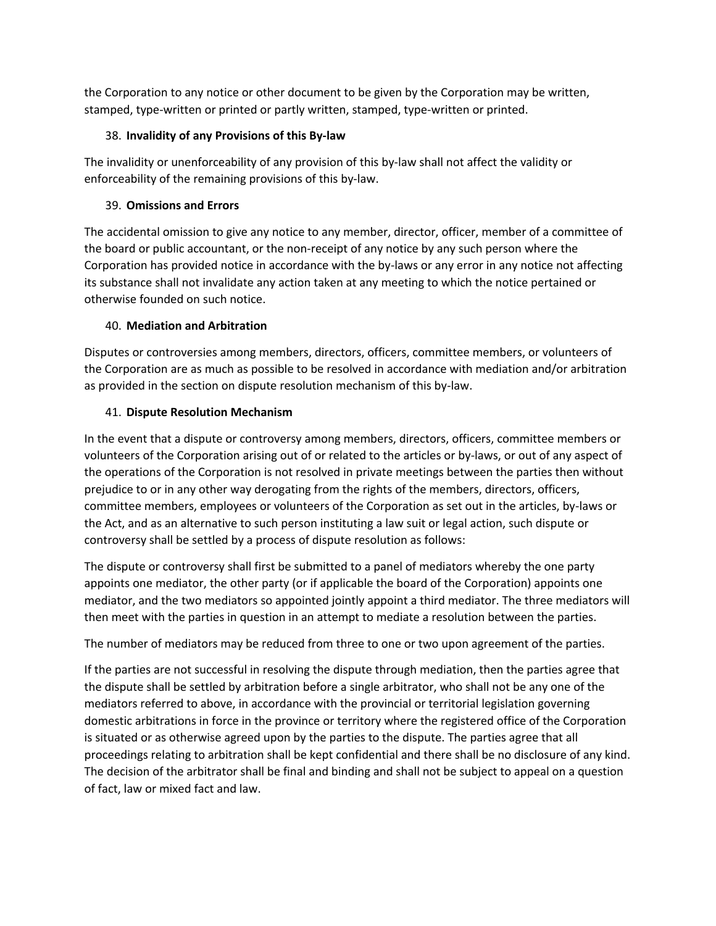the Corporation to any notice or other document to be given by the Corporation may be written, stamped, type-written or printed or partly written, stamped, type-written or printed.

## 38. **Invalidity of any Provisions of this By-law**

The invalidity or unenforceability of any provision of this by-law shall not affect the validity or enforceability of the remaining provisions of this by-law.

## 39. **Omissions and Errors**

The accidental omission to give any notice to any member, director, officer, member of a committee of the board or public accountant, or the non-receipt of any notice by any such person where the Corporation has provided notice in accordance with the by-laws or any error in any notice not affecting its substance shall not invalidate any action taken at any meeting to which the notice pertained or otherwise founded on such notice.

## 40. **Mediation and Arbitration**

Disputes or controversies among members, directors, officers, committee members, or volunteers of the Corporation are as much as possible to be resolved in accordance with mediation and/or arbitration as provided in the section on dispute resolution mechanism of this by-law.

## 41. **Dispute Resolution Mechanism**

In the event that a dispute or controversy among members, directors, officers, committee members or volunteers of the Corporation arising out of or related to the articles or by-laws, or out of any aspect of the operations of the Corporation is not resolved in private meetings between the parties then without prejudice to or in any other way derogating from the rights of the members, directors, officers, committee members, employees or volunteers of the Corporation as set out in the articles, by-laws or the Act, and as an alternative to such person instituting a law suit or legal action, such dispute or controversy shall be settled by a process of dispute resolution as follows:

The dispute or controversy shall first be submitted to a panel of mediators whereby the one party appoints one mediator, the other party (or if applicable the board of the Corporation) appoints one mediator, and the two mediators so appointed jointly appoint a third mediator. The three mediators will then meet with the parties in question in an attempt to mediate a resolution between the parties.

The number of mediators may be reduced from three to one or two upon agreement of the parties.

If the parties are not successful in resolving the dispute through mediation, then the parties agree that the dispute shall be settled by arbitration before a single arbitrator, who shall not be any one of the mediators referred to above, in accordance with the provincial or territorial legislation governing domestic arbitrations in force in the province or territory where the registered office of the Corporation is situated or as otherwise agreed upon by the parties to the dispute. The parties agree that all proceedings relating to arbitration shall be kept confidential and there shall be no disclosure of any kind. The decision of the arbitrator shall be final and binding and shall not be subject to appeal on a question of fact, law or mixed fact and law.